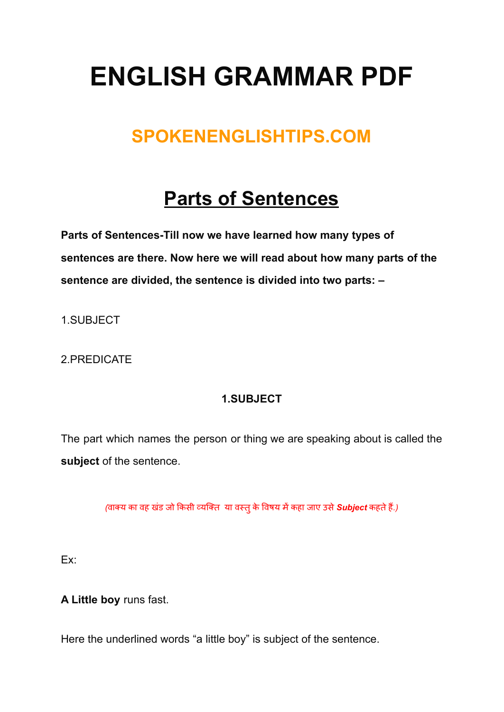# **ENGLISH GRAMMAR PDF**

### **SPOKENENGLISHTIPS.COM**

## **Parts of Sentences**

**Parts of Sentences-Till now we have learned how many types of sentences are there. Now here we will read about how many parts of the sentence are divided, the sentence is divided into two parts: –**

1.SUBJECT

2.PREDICATE

#### **1.SUBJECT**

The part which names the person or thing we are speaking about is called the **subject** of the sentence.

*(*वाक्य का वह खडं जो कि सी व्यक्ति या वस्तुके वि षय मेंकहा जाए उसे*Subject* कहतेहैं*.)*

Ex:

**A Little boy** runs fast.

Here the underlined words "a little boy" is subject of the sentence.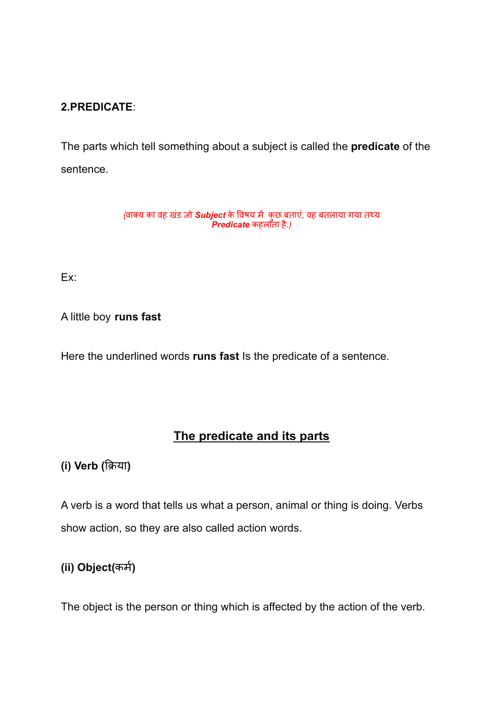#### **2.PREDICATE**:

The parts which tell something about a subject is called the **predicate** of the sentence.

> *(*वाक्य का वह खडं जो *Subject* के वि षय में कुछ बताएं*,* वह बतलाया गया तथ्य *Predicate* कहलाता है*.)*

Ex:

A little boy **runs fast**

Here the underlined words **runs fast** Is the predicate of a sentence.

#### **The predicate and its parts**

**(i) Verb (**क्रि या**)**

A verb is a word that tells us what a person, animal or thing is doing. Verbs show action, so they are also called action words.

#### **(ii) Object(कर्म)**

The object is the person or thing which is affected by the action of the verb.